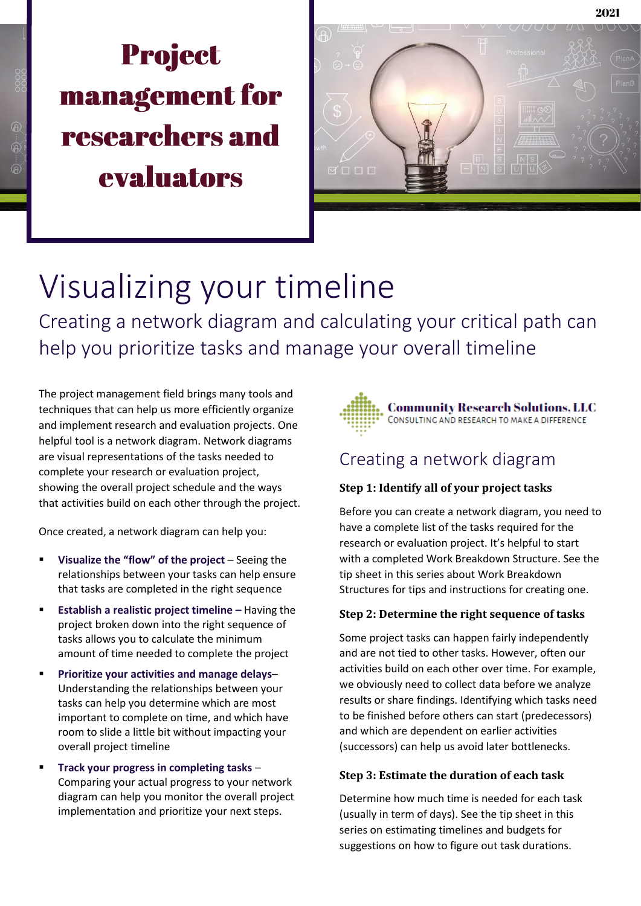# **Project** management for **researchers and** evaluators



## Visualizing your timeline

Creating a network diagram and calculating your critical path can help you prioritize tasks and manage your overall timeline

The project management field brings many tools and techniques that can help us more efficiently organize and implement research and evaluation projects. One helpful tool is a network diagram. Network diagrams are visual representations of the tasks needed to complete your research or evaluation project, showing the overall project schedule and the ways that activities build on each other through the project.

Once created, a network diagram can help you:

- **Visualize the "flow" of the project** Seeing the relationships between your tasks can help ensure that tasks are completed in the right sequence
- **Establish a realistic project timeline Having the** project broken down into the right sequence of tasks allows you to calculate the minimum amount of time needed to complete the project
- **Prioritize your activities and manage delays** Understanding the relationships between your tasks can help you determine which are most important to complete on time, and which have room to slide a little bit without impacting your overall project timeline
- **Track your progress in completing tasks** Comparing your actual progress to your network diagram can help you monitor the overall project implementation and prioritize your next steps.



### Creating a network diagram

#### **Step 1: Identify all of your project tasks**

Before you can create a network diagram, you need to have a complete list of the tasks required for the research or evaluation project. It's helpful to start with a completed Work Breakdown Structure. See the tip sheet in this series about Work Breakdown Structures for tips and instructions for creating one.

#### **Step 2: Determine the right sequence of tasks**

Some project tasks can happen fairly independently and are not tied to other tasks. However, often our activities build on each other over time. For example, we obviously need to collect data before we analyze results or share findings. Identifying which tasks need to be finished before others can start (predecessors) and which are dependent on earlier activities (successors) can help us avoid later bottlenecks.

#### **Step 3: Estimate the duration of each task**

Determine how much time is needed for each task (usually in term of days). See the tip sheet in this series on estimating timelines and budgets for suggestions on how to figure out task durations.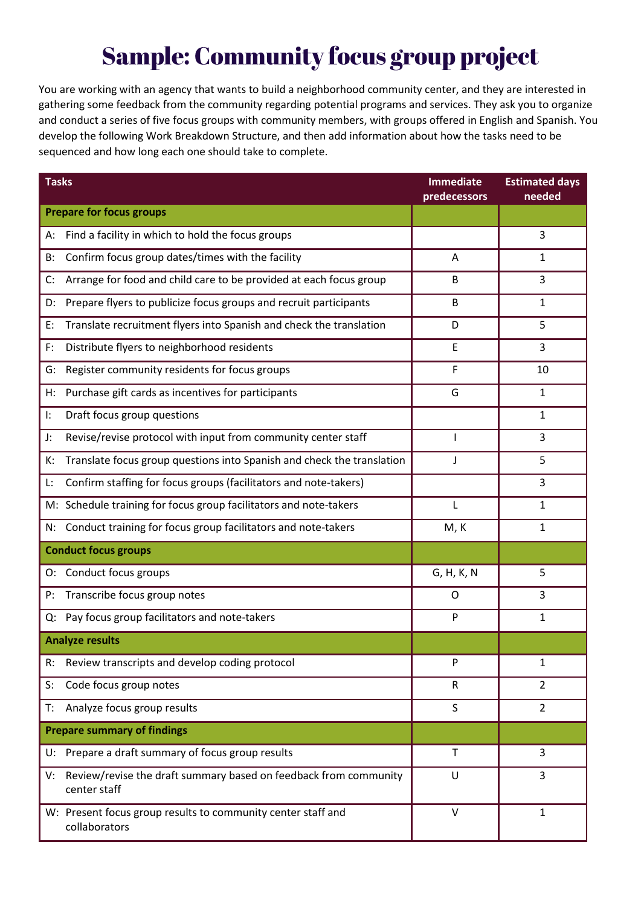## **Sample: Community focus group project**

You are working with an agency that wants to build a neighborhood community center, and they are interested in gathering some feedback from the community regarding potential programs and services. They ask you to organize and conduct a series of five focus groups with community members, with groups offered in English and Spanish. You develop the following Work Breakdown Structure, and then add information about how the tasks need to be sequenced and how long each one should take to complete.

| <b>Tasks</b>                                                                           | <b>Immediate</b><br>predecessors | <b>Estimated days</b><br>needed |
|----------------------------------------------------------------------------------------|----------------------------------|---------------------------------|
| <b>Prepare for focus groups</b>                                                        |                                  |                                 |
| Find a facility in which to hold the focus groups<br>А:                                |                                  | 3                               |
| Confirm focus group dates/times with the facility<br>B:                                | A                                | 1                               |
| Arrange for food and child care to be provided at each focus group<br>C:               | B                                | 3                               |
| Prepare flyers to publicize focus groups and recruit participants<br>D:                | B                                | 1                               |
| Translate recruitment flyers into Spanish and check the translation<br>E:              | D                                | 5                               |
| Distribute flyers to neighborhood residents<br>F:                                      | E                                | 3                               |
| Register community residents for focus groups<br>G:                                    | F                                | 10                              |
| Purchase gift cards as incentives for participants<br>Н:                               | G                                | 1                               |
| Draft focus group questions<br>ŀ.                                                      |                                  | 1                               |
| Revise/revise protocol with input from community center staff<br>J:                    |                                  | 3                               |
| Translate focus group questions into Spanish and check the translation<br>к:           | J                                | 5                               |
| Confirm staffing for focus groups (facilitators and note-takers)<br>Ŀ.                 |                                  | 3                               |
| M: Schedule training for focus group facilitators and note-takers                      | L                                | 1                               |
| Conduct training for focus group facilitators and note-takers<br>N:                    | M, K                             | 1                               |
| <b>Conduct focus groups</b>                                                            |                                  |                                 |
| O: Conduct focus groups                                                                | G, H, K, N                       | 5                               |
| Transcribe focus group notes<br>P:                                                     | O                                | 3                               |
| Pay focus group facilitators and note-takers<br>Q:                                     | P                                | 1                               |
| <b>Analyze results</b>                                                                 |                                  |                                 |
| Review transcripts and develop coding protocol<br>R:                                   | P                                | 1                               |
| Code focus group notes<br>S:                                                           | R                                | $\overline{2}$                  |
| Analyze focus group results<br>T:                                                      | S                                | $\overline{2}$                  |
| <b>Prepare summary of findings</b>                                                     |                                  |                                 |
| Prepare a draft summary of focus group results<br>U:                                   | T                                | 3                               |
| Review/revise the draft summary based on feedback from community<br>V:<br>center staff | U                                | 3                               |
| W: Present focus group results to community center staff and<br>collaborators          | $\vee$                           | $\mathbf{1}$                    |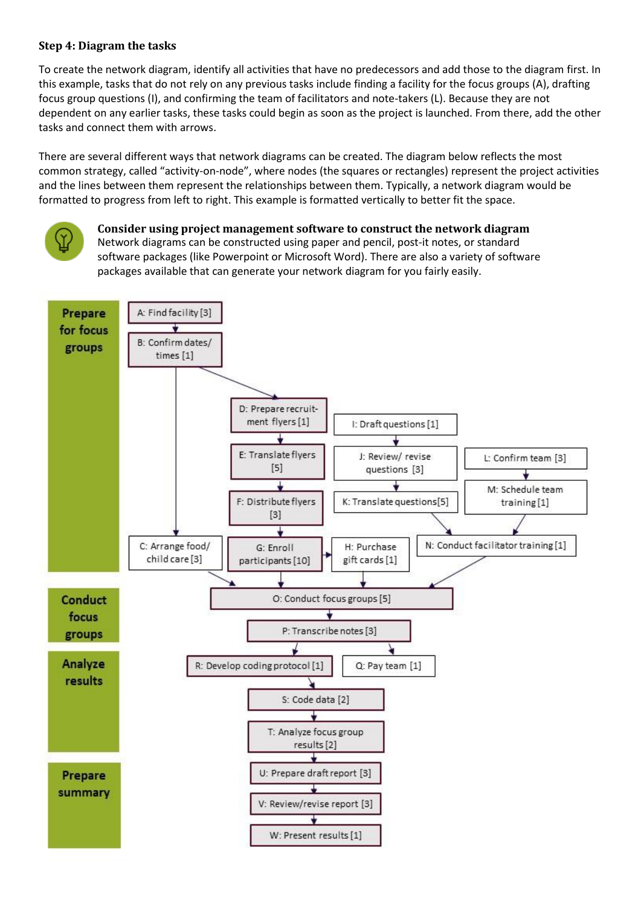#### **Step 4: Diagram the tasks**

To create the network diagram, identify all activities that have no predecessors and add those to the diagram first. In this example, tasks that do not rely on any previous tasks include finding a facility for the focus groups (A), drafting focus group questions (I), and confirming the team of facilitators and note-takers (L). Because they are not dependent on any earlier tasks, these tasks could begin as soon as the project is launched. From there, add the other tasks and connect them with arrows.

There are several different ways that network diagrams can be created. The diagram below reflects the most common strategy, called "activity-on-node", where nodes (the squares or rectangles) represent the project activities and the lines between them represent the relationships between them. Typically, a network diagram would be formatted to progress from left to right. This example is formatted vertically to better fit the space.



#### **Consider using project management software to construct the network diagram** Network diagrams can be constructed using paper and pencil, post-it notes, or standard software packages (like Powerpoint or Microsoft Word). There are also a variety of software